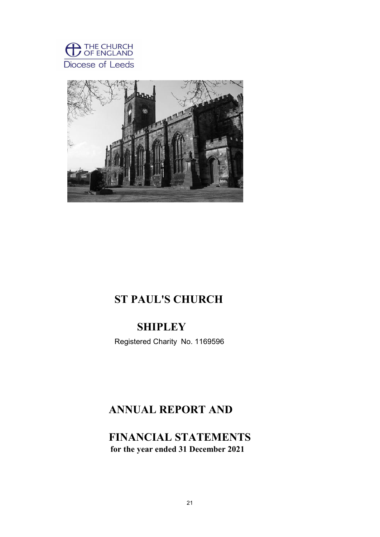



# ST PAUL'S CHURCH

# **SHIPLEY**

Registered Charity No. 1169596

# ANNUAL REPORT AND

FINANCIAL STATEMENTS for the year ended 31 December 2021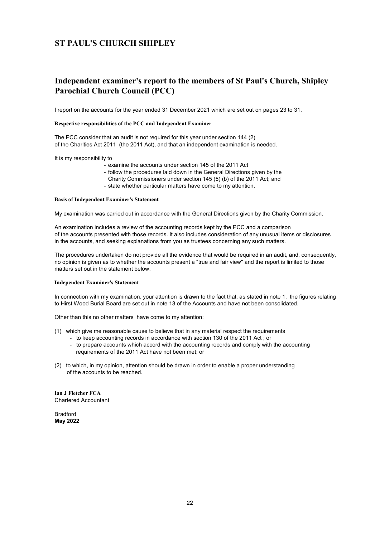## Independent examiner's report to the members of St Paul's Church, Shipley Parochial Church Council (PCC)

I report on the accounts for the year ended 31 December 2021 which are set out on pages 23 to 31.

#### Respective responsibilities of the PCC and Independent Examiner

The PCC consider that an audit is not required for this year under section 144 (2) of the Charities Act 2011 (the 2011 Act), and that an independent examination is needed.

It is my responsibility to

- examine the accounts under section 145 of the 2011 Act
- follow the procedures laid down in the General Directions given by the
- Charity Commissioners under section 145 (5) (b) of the 2011 Act; and
- state whether particular matters have come to my attention.

#### Basis of Independent Examiner's Statement

My examination was carried out in accordance with the General Directions given by the Charity Commission.

An examination includes a review of the accounting records kept by the PCC and a comparison of the accounts presented with those records. It also includes consideration of any unusual items or disclosures in the accounts, and seeking explanations from you as trustees concerning any such matters.

The procedures undertaken do not provide all the evidence that would be required in an audit, and, consequently, no opinion is given as to whether the accounts present a "true and fair view" and the report is limited to those matters set out in the statement below.

#### Independent Examiner's Statement

In connection with my examination, your attention is drawn to the fact that, as stated in note 1, the figures relating to Hirst Wood Burial Board are set out in note 13 of the Accounts and have not been consolidated.

Other than this no other matters have come to my attention:

- (1) which give me reasonable cause to believe that in any material respect the requirements
	- to keep accounting records in accordance with section 130 of the 2011 Act ; or
	- to prepare accounts which accord with the accounting records and comply with the accounting requirements of the 2011 Act have not been met; or
- (2) to which, in my opinion, attention should be drawn in order to enable a proper understanding of the accounts to be reached.

Ian J Fletcher FCA Chartered Accountant

Bradford May 2022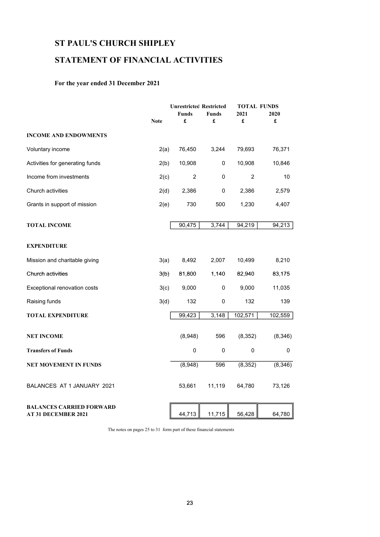## STATEMENT OF FINANCIAL ACTIVITIES

## For the year ended 31 December 2021

|                                                               |             | <b>Unrestricted Restricted</b> |              |          | <b>TOTAL FUNDS</b> |  |  |
|---------------------------------------------------------------|-------------|--------------------------------|--------------|----------|--------------------|--|--|
|                                                               |             | <b>Funds</b>                   | <b>Funds</b> | 2021     | 2020               |  |  |
|                                                               | <b>Note</b> | £                              | £            | £        | £                  |  |  |
| <b>INCOME AND ENDOWMENTS</b>                                  |             |                                |              |          |                    |  |  |
| Voluntary income                                              | 2(a)        | 76,450                         | 3,244        | 79,693   | 76,371             |  |  |
| Activities for generating funds                               | 2(b)        | 10,908                         | 0            | 10,908   | 10,846             |  |  |
| Income from investments                                       | 2(c)        | 2                              | $\Omega$     | 2        | 10                 |  |  |
| Church activities                                             | 2(d)        | 2,386                          | 0            | 2,386    | 2,579              |  |  |
| Grants in support of mission                                  | 2(e)        | 730                            | 500          | 1,230    | 4,407              |  |  |
| <b>TOTAL INCOME</b>                                           |             | 90,475                         | 3,744        | 94,219   | 94,213             |  |  |
| <b>EXPENDITURE</b>                                            |             |                                |              |          |                    |  |  |
| Mission and charitable giving                                 | 3(a)        | 8,492                          | 2,007        | 10,499   | 8,210              |  |  |
| Church activities                                             | 3(b)        | 81,800                         | 1,140        | 82,940   | 83,175             |  |  |
| Exceptional renovation costs                                  | 3(c)        | 9,000                          | 0            | 9,000    | 11,035             |  |  |
| Raising funds                                                 | 3(d)        | 132                            | 0            | 132      | 139                |  |  |
| <b>TOTAL EXPENDITURE</b>                                      |             | 99,423                         | 3,148        | 102,571  | 102,559            |  |  |
| <b>NET INCOME</b>                                             |             | (8,948)                        | 596          | (8, 352) | (8,346)            |  |  |
| <b>Transfers of Funds</b>                                     |             | $\mathbf 0$                    | 0            | 0        | 0                  |  |  |
| <b>NET MOVEMENT IN FUNDS</b>                                  |             | (8,948)                        | 596          | (8, 352) | (8,346)            |  |  |
| BALANCES AT 1 JANUARY 2021                                    |             | 53,661                         | 11,119       | 64,780   | 73,126             |  |  |
| <b>BALANCES CARRIED FORWARD</b><br><b>AT 31 DECEMBER 2021</b> |             | 44,713                         | 11,715       | 56,428   | 64,780             |  |  |

The notes on pages 25 to 31 form part of these financial statements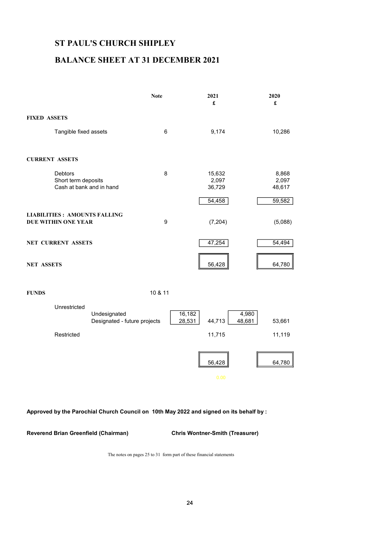## BALANCE SHEET AT 31 DECEMBER 2021

|                                                                   | <b>Note</b> | 2021<br>£                 | 2020<br>£                |
|-------------------------------------------------------------------|-------------|---------------------------|--------------------------|
| <b>FIXED ASSETS</b>                                               |             |                           |                          |
| Tangible fixed assets                                             | 6           | 9,174                     | 10,286                   |
| <b>CURRENT ASSETS</b>                                             |             |                           |                          |
| <b>Debtors</b><br>Short term deposits<br>Cash at bank and in hand | 8           | 15,632<br>2,097<br>36,729 | 8,868<br>2,097<br>48,617 |
|                                                                   |             | 54,458                    | 59,582                   |
| <b>LIABILITIES: AMOUNTS FALLING</b><br><b>DUE WITHIN ONE YEAR</b> | 9           | (7, 204)                  | (5,088)                  |
| <b>NET CURRENT ASSETS</b>                                         |             | 47,254                    | 54,494                   |
| <b>NET ASSETS</b>                                                 |             | 56,428                    | 64,780                   |

FUNDS 10 & 11



### Approved by the Parochial Church Council on 10th May 2022 and signed on its behalf by :

Reverend Brian Greenfield (Chairman) Chris Wontner-Smith (Treasurer)

The notes on pages 25 to 31 form part of these financial statements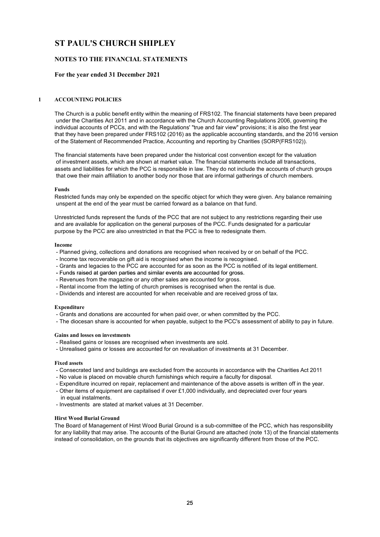### NOTES TO THE FINANCIAL STATEMENTS

#### For the year ended 31 December 2021

#### 1 ACCOUNTING POLICIES

The Church is a public benefit entity within the meaning of FRS102. The financial statements have been prepared under the Charities Act 2011 and in accordance with the Church Accounting Regulations 2006, governing the individual accounts of PCCs, and with the Regulations' "true and fair view" provisions; it is also the first year that they have been prepared under FRS102 (2016) as the applicable accounting standards, and the 2016 version of the Statement of Recommended Practice, Accounting and reporting by Charities (SORP(FRS102)).

The financial statements have been prepared under the historical cost convention except for the valuation of investment assets, which are shown at market value. The financial statements include all transactions, assets and liabilities for which the PCC is responsible in law. They do not include the accounts of church groups that owe their main affiliation to another body nor those that are informal gatherings of church members.

#### Funds

Restricted funds may only be expended on the specific object for which they were given. Any balance remaining unspent at the end of the year must be carried forward as a balance on that fund.

Unrestricted funds represent the funds of the PCC that are not subject to any restrictions regarding their use and are available for application on the general purposes of the PCC. Funds designated for a particular purpose by the PCC are also unrestricted in that the PCC is free to redesignate them.

#### Income

- Planned giving, collections and donations are recognised when received by or on behalf of the PCC.
- Income tax recoverable on gift aid is recognised when the income is recognised.
- Grants and legacies to the PCC are accounted for as soon as the PCC is notified of its legal entitlement.
- Funds raised at garden parties and similar events are accounted for gross.
- Revenues from the magazine or any other sales are accounted for gross.
- Rental income from the letting of church premises is recognised when the rental is due.
- Dividends and interest are accounted for when receivable and are received gross of tax.

#### Expenditure

- Grants and donations are accounted for when paid over, or when committed by the PCC.
- The diocesan share is accounted for when payable, subject to the PCC's assessment of ability to pay in future.

#### Gains and losses on investments

- Realised gains or losses are recognised when investments are sold.
- Unrealised gains or losses are accounted for on revaluation of investments at 31 December.

#### Fixed assets

- Consecrated land and buildings are excluded from the accounts in accordance with the Charities Act 2011
- No value is placed on movable church furnishings which require a faculty for disposal.
- Expenditure incurred on repair, replacement and maintenance of the above assets is written off in the year. - Other items of equipment are capitalised if over £1,000 individually, and depreciated over four years
- in equal instalments.
- Investments are stated at market values at 31 December.

#### Hirst Wood Burial Ground

The Board of Management of Hirst Wood Burial Ground is a sub-committee of the PCC, which has responsibility for any liability that may arise. The accounts of the Burial Ground are attached (note 13) of the financial statements instead of consolidation, on the grounds that its objectives are significantly different from those of the PCC.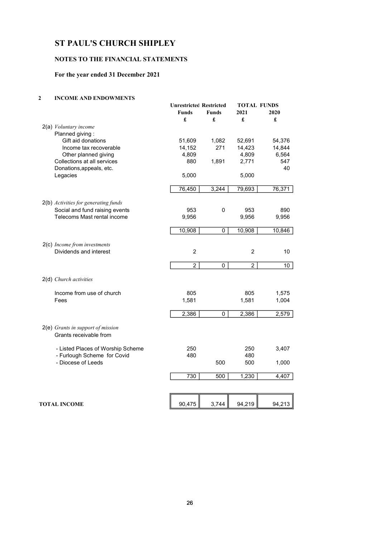### NOTES TO THE FINANCIAL STATEMENTS

## For the year ended 31 December 2021

### 2 INCOME AND ENDOWMENTS

|                                                             | <b>Unrestricted Restricted</b><br><b>Funds</b><br>£ | <b>Funds</b><br>£ | <b>TOTAL FUNDS</b><br>2021<br>£ | 2020<br>£       |
|-------------------------------------------------------------|-----------------------------------------------------|-------------------|---------------------------------|-----------------|
| 2(a) Voluntary income                                       |                                                     |                   |                                 |                 |
| Planned giving:                                             |                                                     |                   |                                 |                 |
| Gift aid donations                                          | 51,609                                              | 1,082             | 52,691                          | 54,376          |
| Income tax recoverable                                      | 14,152                                              | 271               | 14,423                          | 14,844          |
| Other planned giving                                        | 4,809                                               |                   | 4,809                           | 6,564           |
| Collections at all services                                 | 880                                                 | 1,891             | 2,771                           | 547             |
| Donations, appeals, etc.                                    |                                                     |                   |                                 | 40              |
| Legacies                                                    | 5,000                                               |                   | 5,000                           |                 |
|                                                             | 76,450                                              | 3,244             | 79,693                          | 76,371          |
| 2(b) Activities for generating funds                        |                                                     |                   |                                 |                 |
| Social and fund raising events                              | 953                                                 | 0                 | 953                             | 890             |
| Telecoms Mast rental income                                 | 9,956                                               |                   | 9,956                           | 9,956           |
|                                                             | 10,908                                              | 0                 | 10,908                          | 10,846          |
| 2(c) Income from investments                                |                                                     |                   |                                 |                 |
| Dividends and interest                                      | $\overline{c}$                                      |                   | $\overline{c}$                  | 10              |
|                                                             | $\overline{2}$                                      | 0                 | $\overline{2}$                  | 10 <sup>1</sup> |
| 2(d) Church activities                                      |                                                     |                   |                                 |                 |
| Income from use of church                                   | 805                                                 |                   | 805                             | 1,575           |
| Fees                                                        | 1,581                                               |                   | 1,581                           | 1,004           |
|                                                             | 2,386                                               | 0                 | 2,386                           | 2,579           |
| 2(e) Grants in support of mission<br>Grants receivable from |                                                     |                   |                                 |                 |
| - Listed Places of Worship Scheme                           | 250                                                 |                   | 250                             | 3,407           |
| - Furlough Scheme for Covid                                 | 480                                                 |                   | 480                             |                 |
| - Diocese of Leeds                                          |                                                     | 500               | 500                             | 1,000           |
|                                                             | 730                                                 | 500               | 1,230                           | 4,407           |
|                                                             |                                                     |                   |                                 |                 |
| <b>TOTAL INCOME</b>                                         | 90,475                                              | 3,744             | 94,219                          | 94,213          |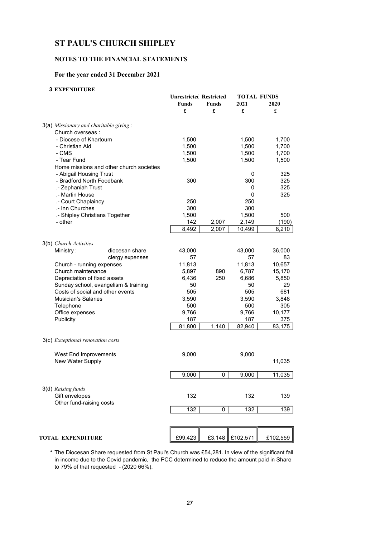### NOTES TO THE FINANCIAL STATEMENTS

### For the year ended 31 December 2021

### 3 EXPENDITURE

|                                           | <b>Unrestricted Restricted</b><br>Funds<br>£ | <b>Funds</b><br>£ | 2021<br>£       | <b>TOTAL FUNDS</b><br>2020<br>£ |
|-------------------------------------------|----------------------------------------------|-------------------|-----------------|---------------------------------|
| $3(a)$ Missionary and charitable giving : |                                              |                   |                 |                                 |
| Church overseas :                         |                                              |                   |                 |                                 |
| - Diocese of Khartoum                     | 1,500                                        |                   | 1,500           | 1,700                           |
| - Christian Aid                           | 1,500                                        |                   | 1,500           | 1,700                           |
| - CMS                                     | 1,500                                        |                   | 1,500           | 1,700                           |
| - Tear Fund                               | 1,500                                        |                   | 1,500           | 1,500                           |
| Home missions and other church societies  |                                              |                   |                 |                                 |
| - Abigail Housing Trust                   |                                              |                   | 0               | 325                             |
| - Bradford North Foodbank                 | 300                                          |                   | 300             | 325                             |
| .- Zephaniah Trust                        |                                              |                   | 0               | 325                             |
| .- Martin House                           |                                              |                   | 0               | 325                             |
| .- Court Chaplaincy                       | 250                                          |                   | 250             |                                 |
| .- Inn Churches                           | 300                                          |                   | 300             | 500                             |
| .- Shipley Christians Together<br>- other | 1,500                                        |                   | 1,500           |                                 |
|                                           | 142<br>8,492                                 | 2,007<br>2,007    | 2,149<br>10,499 | (190)<br>8,210                  |
|                                           |                                              |                   |                 |                                 |
| 3(b) Church Activities                    |                                              |                   |                 |                                 |
| Ministry:<br>diocesan share               | 43,000                                       |                   | 43,000          | 36,000                          |
| clergy expenses                           | 57                                           |                   | 57              | 83                              |
| Church - running expenses                 | 11,813                                       |                   | 11,813          | 10,657                          |
| Church maintenance                        | 5,897                                        | 890               | 6,787           | 15,170                          |
| Depreciation of fixed assets              | 6,436                                        | 250               | 6,686           | 5,850                           |
| Sunday school, evangelism & training      | 50                                           |                   | 50              | 29                              |
| Costs of social and other events          | 505                                          |                   | 505             | 681                             |
| <b>Musician's Salaries</b>                | 3,590                                        |                   | 3,590           | 3,848                           |
| Telephone                                 | 500                                          |                   | 500             | 305                             |
| Office expenses                           | 9,766                                        |                   | 9,766           | 10,177                          |
| Publicity                                 | 187                                          |                   | 187             | 375                             |
|                                           | 81,800                                       | 1,140             | 82,940          | 83,175                          |
| 3(c) Exceptional renovation costs         |                                              |                   |                 |                                 |
| West End Improvements                     | 9,000                                        |                   | 9,000           |                                 |
| New Water Supply                          |                                              |                   |                 | 11,035                          |
|                                           | 9,000                                        | 0                 | 9,000           | 11,035                          |
|                                           |                                              |                   |                 |                                 |
| 3(d) Raising funds                        |                                              |                   |                 |                                 |
| Gift envelopes                            | 132                                          |                   | 132             | 139                             |
| Other fund-raising costs                  | 132                                          | 0                 | 132             | 139                             |
|                                           |                                              |                   |                 |                                 |
|                                           |                                              |                   |                 |                                 |
| <b>TOTAL EXPENDITURE</b>                  | £99,423                                      | £3,148            | £102,571        | £102,559                        |

\* The Diocesan Share requested from St Paul's Church was £54,281. In view of the significant fall in income due to the Covid pandemic, the PCC determined to reduce the amount paid in Share to 79% of that requested - (2020 66%).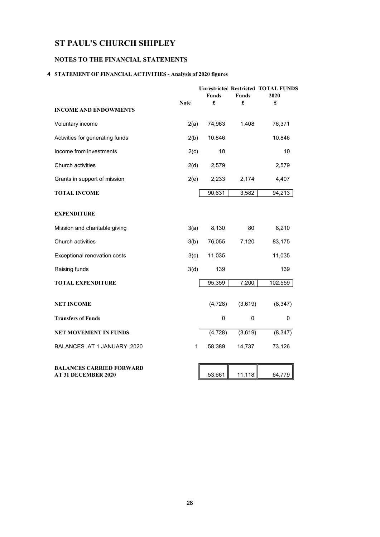## NOTES TO THE FINANCIAL STATEMENTS

## 4 STATEMENT OF FINANCIAL ACTIVITIES - Analysis of 2020 figures

|                                                               | <b>Note</b> | Funds<br>£ | <b>Funds</b><br>£ | <b>Unrestricted Restricted TOTAL FUNDS</b><br>2020<br>£ |
|---------------------------------------------------------------|-------------|------------|-------------------|---------------------------------------------------------|
| <b>INCOME AND ENDOWMENTS</b>                                  |             |            |                   |                                                         |
| Voluntary income                                              | 2(a)        | 74,963     | 1,408             | 76,371                                                  |
| Activities for generating funds                               | 2(b)        | 10,846     |                   | 10,846                                                  |
| Income from investments                                       | 2(c)        | 10         |                   | 10                                                      |
| Church activities                                             | 2(d)        | 2,579      |                   | 2,579                                                   |
| Grants in support of mission                                  | 2(e)        | 2,233      | 2,174             | 4,407                                                   |
| <b>TOTAL INCOME</b>                                           |             | 90,631     | 3,582             | 94,213                                                  |
| <b>EXPENDITURE</b>                                            |             |            |                   |                                                         |
| Mission and charitable giving                                 | 3(a)        | 8,130      | 80                | 8,210                                                   |
| Church activities                                             | 3(b)        | 76,055     | 7,120             | 83,175                                                  |
| Exceptional renovation costs                                  | 3(c)        | 11,035     |                   | 11,035                                                  |
| Raising funds                                                 | 3(d)        | 139        |                   | 139                                                     |
| <b>TOTAL EXPENDITURE</b>                                      |             | 95,359     | 7,200             | 102,559                                                 |
| <b>NET INCOME</b>                                             |             | (4, 728)   | (3,619)           | (8, 347)                                                |
| <b>Transfers of Funds</b>                                     |             | 0          | $\Omega$          | 0                                                       |
| <b>NET MOVEMENT IN FUNDS</b>                                  |             | (4, 728)   | (3,619)           | (8, 347)                                                |
| BALANCES AT 1 JANUARY 2020                                    | 1           | 58,389     | 14,737            | 73,126                                                  |
| <b>BALANCES CARRIED FORWARD</b><br><b>AT 31 DECEMBER 2020</b> |             | 53,661     | 11,118            | 64,779                                                  |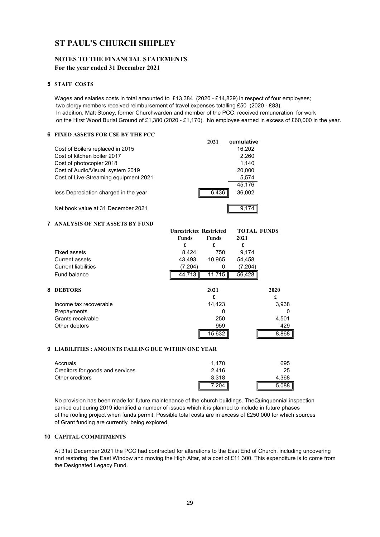### NOTES TO THE FINANCIAL STATEMENTS For the year ended 31 December 2021

#### 5 STAFF COSTS

Wages and salaries costs in total amounted to £13,384 (2020 - £14,829) in respect of four employees; two clergy members received reimbursement of travel expenses totalling £50 (2020 - £83). In addition, Matt Stoney, former Churchwarden and member of the PCC, received remuneration for work on the Hirst Wood Burial Ground of £1,380 (2020 - £1,170). No employee earned in excess of £60,000 in the year.

### 6 FIXED ASSETS FOR USE BY THE PCC

|                                       | 2021  | cumulative |
|---------------------------------------|-------|------------|
| Cost of Boilers replaced in 2015      |       | 16,202     |
| Cost of kitchen boiler 2017           |       | 2.260      |
| Cost of photocopier 2018              |       | 1,140      |
| Cost of Audio/Visual system 2019      |       | 20,000     |
| Cost of Live-Streaming equipment 2021 |       | 5,574      |
|                                       |       | 45,176     |
| less Depreciation charged in the year | 6.436 | 36,002     |
| Net book value at 31 December 2021    |       | 9.17       |

### 7 ANALYSIS OF NET ASSETS BY FUND

|                            | <b>Unrestricted Restricted</b> |              |         | <b>TOTAL FUNDS</b> |  |  |
|----------------------------|--------------------------------|--------------|---------|--------------------|--|--|
|                            | Funds                          | <b>Funds</b> | 2021    |                    |  |  |
|                            | £                              | £            | £       |                    |  |  |
| Fixed assets               | 8,424                          | 750          | 9,174   |                    |  |  |
| Current assets             | 43,493                         | 10,965       | 54,458  |                    |  |  |
| <b>Current liabilities</b> | (7,204)                        |              | (7,204) |                    |  |  |
| Fund balance               | 44,713                         | 11,715       | 56,428  |                    |  |  |
| <b>8 DEBTORS</b>           |                                | 2021         |         | 2020               |  |  |
|                            |                                | £            |         | £                  |  |  |
| Income tax recoverable     |                                | 14,423       |         | 3,938              |  |  |
| Prepayments                |                                | O            |         |                    |  |  |
| Grants receivable          |                                | 250          |         | 4,501              |  |  |
| Other debtors              |                                | 959          |         | 429                |  |  |
|                            |                                | 15,632       |         | 8,868              |  |  |

#### 9 LIABILITIES : AMOUNTS FALLING DUE WITHIN ONE YEAR

| Accruals                         | 1.470 | 695   |
|----------------------------------|-------|-------|
| Creditors for goods and services | 2.416 | 25    |
| Other creditors                  | 3.318 | 4.368 |
|                                  | ?04   | 5,088 |

No provision has been made for future maintenance of the church buildings. TheQuinquennial inspection carried out during 2019 identified a number of issues which it is planned to include in future phases of the roofing project when funds permit. Possible total costs are in excess of £250,000 for which sources of Grant funding are currently being explored.

### 10 CAPITAL COMMITMENTS

At 31st December 2021 the PCC had contracted for alterations to the East End of Church, including uncovering and restoring the East Window and moving the High Altar, at a cost of £11,300. This expenditure is to come from the Designated Legacy Fund.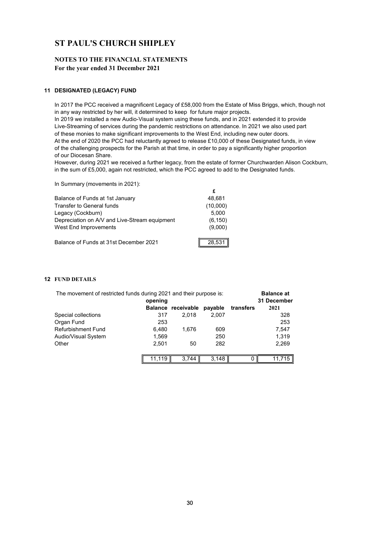### NOTES TO THE FINANCIAL STATEMENTS For the year ended 31 December 2021

### 11 DESIGNATED (LEGACY) FUND

In 2017 the PCC received a magnificent Legacy of £58,000 from the Estate of Miss Briggs, which, though not in any way restricted by her will, it determined to keep for future major projects.

In 2019 we installed a new Audio-Visual system using these funds, and in 2021 extended it to provide Live-Streaming of services during the pandemic restrictions on attendance. In 2021 we also used part of these monies to make significant improvements to the West End, including new outer doors. At the end of 2020 the PCC had reluctantly agreed to release £10,000 of these Designated funds, in view of the challenging prospects for the Parish at that time, in order to pay a significantly higher proportion of our Diocesan Share.

However, during 2021 we received a further legacy, from the estate of former Churchwarden Alison Cockburn, in the sum of £5,000, again not restricted, which the PCC agreed to add to the Designated funds.

| In Summary (movements in 2021):               |          |
|-----------------------------------------------|----------|
|                                               | £        |
| Balance of Funds at 1st January               | 48,681   |
| Transfer to General funds                     | (10,000) |
| Legacy (Cockburn)                             | 5,000    |
| Depreciation on A/V and Live-Stream equipment | (6, 150) |
| West End Improvements                         | (9,000)  |
| Balance of Funds at 31st December 2021        | 28,531   |

### 12 FUND DETAILS

| The movement of restricted funds during 2021 and their purpose is: | <b>Balance at</b><br>31 December |                    |         |           |           |
|--------------------------------------------------------------------|----------------------------------|--------------------|---------|-----------|-----------|
|                                                                    |                                  | Balance receivable | payable | transfers | 2021      |
| Special collections                                                | 317                              | 2.018              | 2.007   |           | 328       |
| Organ Fund                                                         | 253                              |                    |         |           | 253       |
| <b>Refurbishment Fund</b>                                          | 6.480                            | 1.676              | 609     |           | 7,547     |
| Audio/Visual System                                                | 1,569                            |                    | 250     |           | 1,319     |
| Other                                                              | 2,501                            | 50                 | 282     |           | 2,269     |
|                                                                    | 11,119                           | 3.744              | 3.148   |           | 11.715 II |